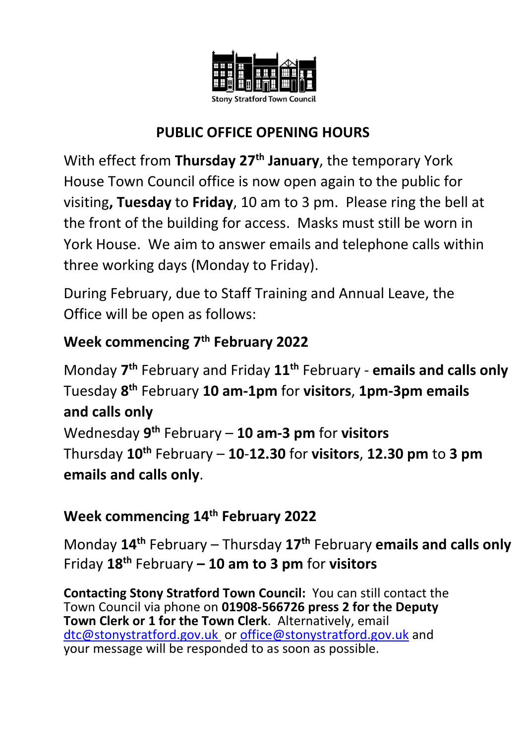

## **PUBLIC OFFICE OPENING HOURS**

With effect from **Thursday 27th January**, the temporary York House Town Council office is now open again to the public for visiting**, Tuesday** to **Friday**, 10 am to 3 pm. Please ring the bell at the front of the building for access. Masks must still be worn in York House. We aim to answer emails and telephone calls within three working days (Monday to Friday).

During February, due to Staff Training and Annual Leave, the Office will be open as follows:

# **Week commencing 7 th February 2022**

Monday **7 th** February and Friday **11th** February - **emails and calls only** Tuesday **8 th** February **10 am-1pm** for **visitors**, **1pm-3pm emails and calls only**

Wednesday **9 th** February – **10 am-3 pm** for **visitors** Thursday **10th** February – **10**-**12.30** for **visitors**, **12.30 pm** to **3 pm emails and calls only**.

## **Week commencing 14th February 2022**

Monday **14th** February – Thursday **17th** February **emails and calls only** Friday **18th** February **– 10 am to 3 pm** for **visitors**

**Contacting Stony Stratford Town Council:** You can still contact the Town Council via phone on **01908-566726 press 2 for the Deputy Town Clerk or 1 for the Town Clerk**. Alternatively, email [dtc@stonystratford.gov.uk](mailto:dtc@stonystratford.gov.uk) or [office@stonystratford.gov.uk](mailto:office@stonystratford.gov.uk) and your message will be responded to as soon as possible.